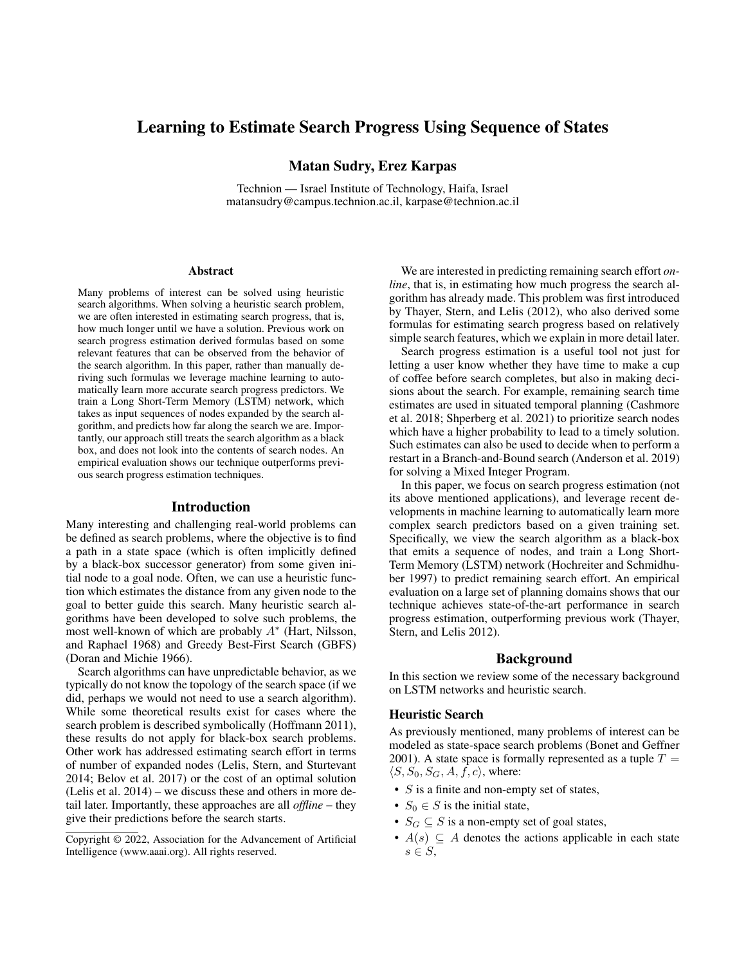# Learning to Estimate Search Progress Using Sequence of States

# Matan Sudry, Erez Karpas

Technion — Israel Institute of Technology, Haifa, Israel matansudry@campus.technion.ac.il, karpase@technion.ac.il

#### Abstract

Many problems of interest can be solved using heuristic search algorithms. When solving a heuristic search problem, we are often interested in estimating search progress, that is, how much longer until we have a solution. Previous work on search progress estimation derived formulas based on some relevant features that can be observed from the behavior of the search algorithm. In this paper, rather than manually deriving such formulas we leverage machine learning to automatically learn more accurate search progress predictors. We train a Long Short-Term Memory (LSTM) network, which takes as input sequences of nodes expanded by the search algorithm, and predicts how far along the search we are. Importantly, our approach still treats the search algorithm as a black box, and does not look into the contents of search nodes. An empirical evaluation shows our technique outperforms previous search progress estimation techniques.

#### Introduction

Many interesting and challenging real-world problems can be defined as search problems, where the objective is to find a path in a state space (which is often implicitly defined by a black-box successor generator) from some given initial node to a goal node. Often, we can use a heuristic function which estimates the distance from any given node to the goal to better guide this search. Many heuristic search algorithms have been developed to solve such problems, the most well-known of which are probably  $A^*$  (Hart, Nilsson, and Raphael 1968) and Greedy Best-First Search (GBFS) (Doran and Michie 1966).

Search algorithms can have unpredictable behavior, as we typically do not know the topology of the search space (if we did, perhaps we would not need to use a search algorithm). While some theoretical results exist for cases where the search problem is described symbolically (Hoffmann 2011), these results do not apply for black-box search problems. Other work has addressed estimating search effort in terms of number of expanded nodes (Lelis, Stern, and Sturtevant 2014; Belov et al. 2017) or the cost of an optimal solution (Lelis et al. 2014) – we discuss these and others in more detail later. Importantly, these approaches are all *offline* – they give their predictions before the search starts.

We are interested in predicting remaining search effort *online*, that is, in estimating how much progress the search algorithm has already made. This problem was first introduced by Thayer, Stern, and Lelis (2012), who also derived some formulas for estimating search progress based on relatively simple search features, which we explain in more detail later.

Search progress estimation is a useful tool not just for letting a user know whether they have time to make a cup of coffee before search completes, but also in making decisions about the search. For example, remaining search time estimates are used in situated temporal planning (Cashmore et al. 2018; Shperberg et al. 2021) to prioritize search nodes which have a higher probability to lead to a timely solution. Such estimates can also be used to decide when to perform a restart in a Branch-and-Bound search (Anderson et al. 2019) for solving a Mixed Integer Program.

In this paper, we focus on search progress estimation (not its above mentioned applications), and leverage recent developments in machine learning to automatically learn more complex search predictors based on a given training set. Specifically, we view the search algorithm as a black-box that emits a sequence of nodes, and train a Long Short-Term Memory (LSTM) network (Hochreiter and Schmidhuber 1997) to predict remaining search effort. An empirical evaluation on a large set of planning domains shows that our technique achieves state-of-the-art performance in search progress estimation, outperforming previous work (Thayer, Stern, and Lelis 2012).

# Background

In this section we review some of the necessary background on LSTM networks and heuristic search.

#### Heuristic Search

As previously mentioned, many problems of interest can be modeled as state-space search problems (Bonet and Geffner 2001). A state space is formally represented as a tuple  $T =$  $\langle S, S_0, S_G, A, f, c \rangle$ , where:

- $S$  is a finite and non-empty set of states,
- $S_0 \in S$  is the initial state,
- $S_G \subseteq S$  is a non-empty set of goal states,
- $A(s) \subseteq A$  denotes the actions applicable in each state  $s \in S$ ,

Copyright © 2022, Association for the Advancement of Artificial Intelligence (www.aaai.org). All rights reserved.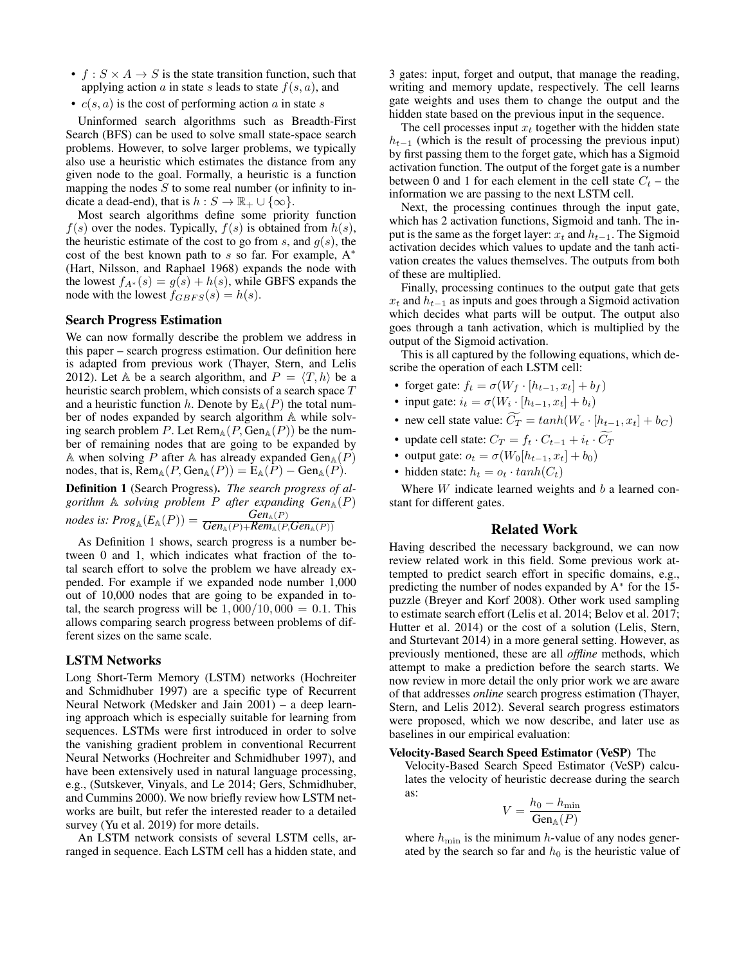- $f : S \times A \rightarrow S$  is the state transition function, such that applying action a in state s leads to state  $f(s, a)$ , and
- $c(s, a)$  is the cost of performing action a in state s

Uninformed search algorithms such as Breadth-First Search (BFS) can be used to solve small state-space search problems. However, to solve larger problems, we typically also use a heuristic which estimates the distance from any given node to the goal. Formally, a heuristic is a function mapping the nodes  $S$  to some real number (or infinity to indicate a dead-end), that is  $h : S \to \mathbb{R}_+ \cup \{\infty\}.$ 

Most search algorithms define some priority function  $f(s)$  over the nodes. Typically,  $f(s)$  is obtained from  $h(s)$ , the heuristic estimate of the cost to go from  $s$ , and  $g(s)$ , the cost of the best known path to  $s$  so far. For example,  $A^*$ (Hart, Nilsson, and Raphael 1968) expands the node with the lowest  $f_{A^*}(s) = g(s) + h(s)$ , while GBFS expands the node with the lowest  $f_{GBFS}(s) = h(s)$ .

# Search Progress Estimation

We can now formally describe the problem we address in this paper – search progress estimation. Our definition here is adapted from previous work (Thayer, Stern, and Lelis 2012). Let A be a search algorithm, and  $P = \langle T, h \rangle$  be a heuristic search problem, which consists of a search space T and a heuristic function h. Denote by  $E_A(P)$  the total number of nodes expanded by search algorithm A while solving search problem P. Let  $\text{Rem}_{\mathbb{A}}(P, \text{Gen}_{\mathbb{A}}(P))$  be the number of remaining nodes that are going to be expanded by A when solving P after A has already expanded  $Gen_{A}(P)$ nodes, that is,  $\text{Rem}_{\mathbb{A}}(P, \text{Gen}_{\mathbb{A}}(P)) = \text{E}_{\mathbb{A}}(P) - \text{Gen}_{\mathbb{A}}(P)$ .

Definition 1 (Search Progress). *The search progress of algorithm*  $\mathbb A$  *solving problem*  $P$  *after expanding Gen* $_{\mathbb A}(P)$  $\textit{nodes is:} \, Prog_{\mathbb{A}}(E_{\mathbb{A}}(P)) = \frac{\textit{Gen}_{\mathbb{A}}(P)}{\textit{Gen}_{\mathbb{A}}(P) + \textit{Rem}_{\mathbb{A}}(P, \textit{Gen}_{\mathbb{A}}(P))}$ 

As Definition 1 shows, search progress is a number between 0 and 1, which indicates what fraction of the total search effort to solve the problem we have already expended. For example if we expanded node number 1,000 out of 10,000 nodes that are going to be expanded in total, the search progress will be  $1,000/10,000 = 0.1$ . This allows comparing search progress between problems of different sizes on the same scale.

### LSTM Networks

Long Short-Term Memory (LSTM) networks (Hochreiter and Schmidhuber 1997) are a specific type of Recurrent Neural Network (Medsker and Jain 2001) – a deep learning approach which is especially suitable for learning from sequences. LSTMs were first introduced in order to solve the vanishing gradient problem in conventional Recurrent Neural Networks (Hochreiter and Schmidhuber 1997), and have been extensively used in natural language processing, e.g., (Sutskever, Vinyals, and Le 2014; Gers, Schmidhuber, and Cummins 2000). We now briefly review how LSTM networks are built, but refer the interested reader to a detailed survey (Yu et al. 2019) for more details.

An LSTM network consists of several LSTM cells, arranged in sequence. Each LSTM cell has a hidden state, and

3 gates: input, forget and output, that manage the reading, writing and memory update, respectively. The cell learns gate weights and uses them to change the output and the hidden state based on the previous input in the sequence.

The cell processes input  $x_t$  together with the hidden state  $h_{t-1}$  (which is the result of processing the previous input) by first passing them to the forget gate, which has a Sigmoid activation function. The output of the forget gate is a number between 0 and 1 for each element in the cell state  $C_t$  – the information we are passing to the next LSTM cell.

Next, the processing continues through the input gate, which has 2 activation functions, Sigmoid and tanh. The input is the same as the forget layer:  $x_t$  and  $h_{t-1}$ . The Sigmoid activation decides which values to update and the tanh activation creates the values themselves. The outputs from both of these are multiplied.

Finally, processing continues to the output gate that gets  $x_t$  and  $h_{t-1}$  as inputs and goes through a Sigmoid activation which decides what parts will be output. The output also goes through a tanh activation, which is multiplied by the output of the Sigmoid activation.

This is all captured by the following equations, which describe the operation of each LSTM cell:

- forget gate:  $f_t = \sigma(W_f \cdot [h_{t-1}, x_t] + b_f)$
- input gate:  $i_t = \sigma(W_i \cdot [h_{t-1}, x_t] + b_i)$
- new cell state value:  $\widetilde{C}_T = \tanh(W_c \cdot [h_{t-1}, x_t] + b_C)$
- update cell state:  $C_T = f_t \cdot C_{t-1} + i_t \cdot \widetilde{C}_T$
- output gate:  $o_t = \sigma(W_0[h_{t-1}, x_t] + b_0)$
- hidden state:  $h_t = o_t \cdot tanh(C_t)$

Where  $W$  indicate learned weights and  $b$  a learned constant for different gates.

# Related Work

Having described the necessary background, we can now review related work in this field. Some previous work attempted to predict search effort in specific domains, e.g., predicting the number of nodes expanded by A<sup>\*</sup> for the 15puzzle (Breyer and Korf 2008). Other work used sampling to estimate search effort (Lelis et al. 2014; Belov et al. 2017; Hutter et al. 2014) or the cost of a solution (Lelis, Stern, and Sturtevant 2014) in a more general setting. However, as previously mentioned, these are all *offline* methods, which attempt to make a prediction before the search starts. We now review in more detail the only prior work we are aware of that addresses *online* search progress estimation (Thayer, Stern, and Lelis 2012). Several search progress estimators were proposed, which we now describe, and later use as baselines in our empirical evaluation:

#### Velocity-Based Search Speed Estimator (VeSP) The

Velocity-Based Search Speed Estimator (VeSP) calculates the velocity of heuristic decrease during the search as:

$$
V = \frac{h_0 - h_{\min}}{\text{Gen}_{\mathbb{A}}(P)}
$$

where  $h_{\min}$  is the minimum h-value of any nodes generated by the search so far and  $h_0$  is the heuristic value of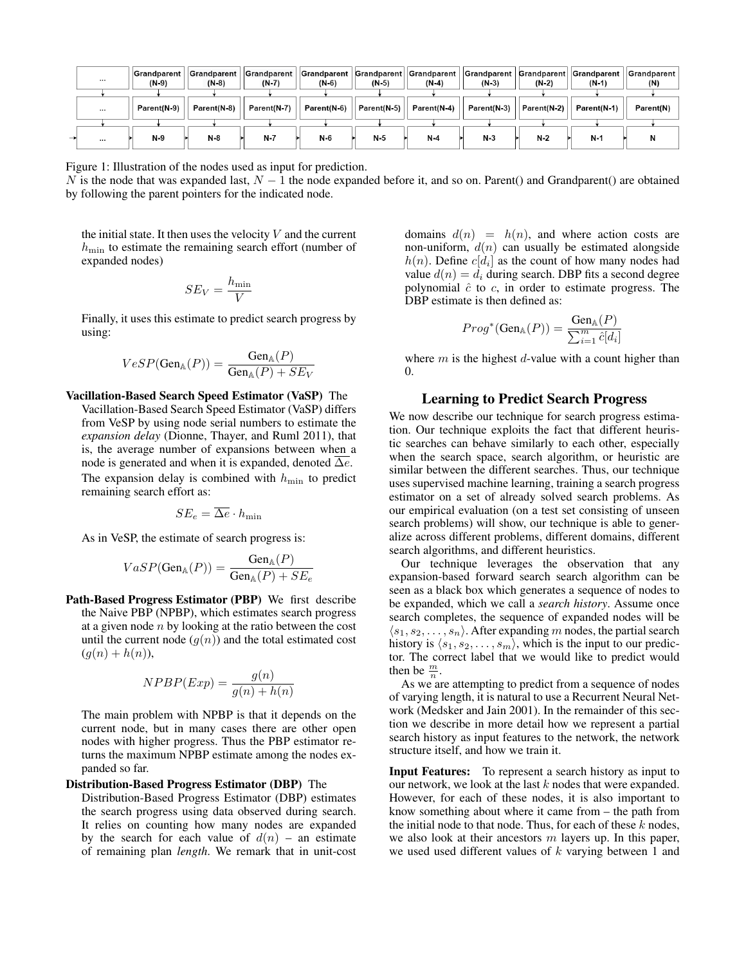| $\cdots$ | Grandparent <br>$(N-9)$ | <b>Grandparent</b><br>$(N-8)$ | <b>Grandparent</b><br>$(N-7)$ | <b>Grandparent</b><br>$(N-6)$ | $(N-5)$     | Grandparent  Grandparent  <br>$(N-4)$ | $(N-3)$     | $(N-2)$     | <b>Grandparent   Grandparent   Grandparent  </b><br>$(N-1)$ | Grandparent<br>(N) |
|----------|-------------------------|-------------------------------|-------------------------------|-------------------------------|-------------|---------------------------------------|-------------|-------------|-------------------------------------------------------------|--------------------|
|          |                         |                               |                               |                               |             |                                       |             |             |                                                             |                    |
| $\cdots$ | Parent(N-9)             | Parent(N-8)                   | Parent(N-7)                   | Parent(N-6)                   | Parent(N-5) | Parent(N-4)                           | Parent(N-3) | Parent(N-2) | Parent(N-1)                                                 | Parent(N)          |
|          |                         |                               |                               |                               |             |                                       |             |             |                                                             |                    |
| $\cdots$ | $N-9$                   | N-8                           | $N-7$                         | N-6                           | N-5         | $N-4$                                 | $N-3$       | N-2         | $N-1$                                                       |                    |

Figure 1: Illustration of the nodes used as input for prediction.

N is the node that was expanded last,  $N - 1$  the node expanded before it, and so on. Parent() and Grandparent() are obtained by following the parent pointers for the indicated node.

the initial state. It then uses the velocity  $V$  and the current  $h_{\text{min}}$  to estimate the remaining search effort (number of expanded nodes)

$$
SE_V = \frac{h_{\min}}{V}
$$

Finally, it uses this estimate to predict search progress by using:

$$
VeSP(\text{Gen}_{\mathbb{A}}(P)) = \frac{\text{Gen}_{\mathbb{A}}(P)}{\text{Gen}_{\mathbb{A}}(P) + SE_V}
$$

# Vacillation-Based Search Speed Estimator (VaSP) The

Vacillation-Based Search Speed Estimator (VaSP) differs from VeSP by using node serial numbers to estimate the *expansion delay* (Dionne, Thayer, and Ruml 2011), that is, the average number of expansions between when a node is generated and when it is expanded, denoted  $\Delta e$ . The expansion delay is combined with  $h_{\min}$  to predict remaining search effort as:

$$
SE_e = \overline{\Delta e} \cdot h_{\min}
$$

As in VeSP, the estimate of search progress is:

$$
VaSP(\text{Gen}_{\mathbb{A}}(P)) = \frac{\text{Gen}_{\mathbb{A}}(P)}{\text{Gen}_{\mathbb{A}}(P) + SE_e}
$$

Path-Based Progress Estimator (PBP) We first describe the Naive PBP (NPBP), which estimates search progress at a given node  $n$  by looking at the ratio between the cost until the current node  $(g(n))$  and the total estimated cost  $(g(n) + h(n)),$ 

$$
NPBP(Exp) = \frac{g(n)}{g(n) + h(n)}
$$

The main problem with NPBP is that it depends on the current node, but in many cases there are other open nodes with higher progress. Thus the PBP estimator returns the maximum NPBP estimate among the nodes expanded so far.

#### Distribution-Based Progress Estimator (DBP) The

Distribution-Based Progress Estimator (DBP) estimates the search progress using data observed during search. It relies on counting how many nodes are expanded by the search for each value of  $d(n)$  – an estimate of remaining plan *length*. We remark that in unit-cost

domains  $d(n) = h(n)$ , and where action costs are non-uniform,  $d(n)$  can usually be estimated alongside  $h(n)$ . Define  $c[d_i]$  as the count of how many nodes had value  $d(n) = d_i$  during search. DBP fits a second degree polynomial  $\hat{c}$  to  $c$ , in order to estimate progress. The DBP estimate is then defined as:

$$
Prog^*(\text{Gen}_{\mathbb{A}}(P)) = \frac{\text{Gen}_{\mathbb{A}}(P)}{\sum_{i=1}^m \hat{c}[d_i]}
$$

where  $m$  is the highest  $d$ -value with a count higher than  $\Omega$ .

# Learning to Predict Search Progress

We now describe our technique for search progress estimation. Our technique exploits the fact that different heuristic searches can behave similarly to each other, especially when the search space, search algorithm, or heuristic are similar between the different searches. Thus, our technique uses supervised machine learning, training a search progress estimator on a set of already solved search problems. As our empirical evaluation (on a test set consisting of unseen search problems) will show, our technique is able to generalize across different problems, different domains, different search algorithms, and different heuristics.

Our technique leverages the observation that any expansion-based forward search search algorithm can be seen as a black box which generates a sequence of nodes to be expanded, which we call a *search history*. Assume once search completes, the sequence of expanded nodes will be  $\langle s_1, s_2, \ldots, s_n \rangle$ . After expanding m nodes, the partial search history is  $\langle s_1, s_2, \ldots, s_m \rangle$ , which is the input to our predictor. The correct label that we would like to predict would then be  $\frac{m}{n}$ .

As we are attempting to predict from a sequence of nodes of varying length, it is natural to use a Recurrent Neural Network (Medsker and Jain 2001). In the remainder of this section we describe in more detail how we represent a partial search history as input features to the network, the network structure itself, and how we train it.

Input Features: To represent a search history as input to our network, we look at the last  $k$  nodes that were expanded. However, for each of these nodes, it is also important to know something about where it came from – the path from the initial node to that node. Thus, for each of these  $k$  nodes, we also look at their ancestors  $m$  layers up. In this paper, we used used different values of  $k$  varying between 1 and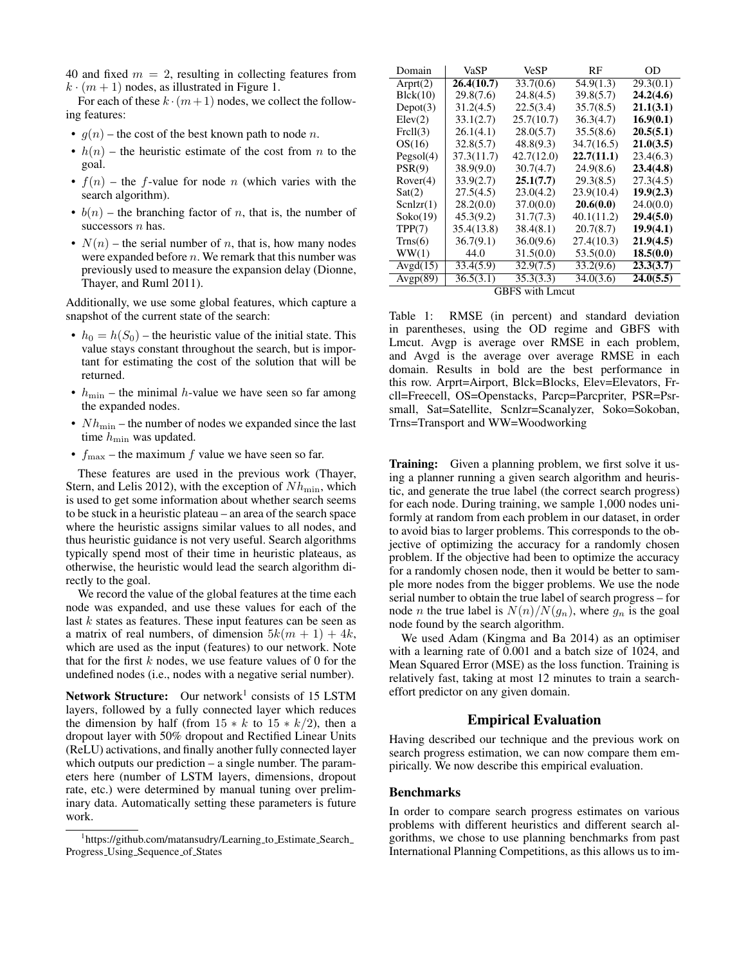40 and fixed  $m = 2$ , resulting in collecting features from  $k \cdot (m + 1)$  nodes, as illustrated in Figure 1.

For each of these  $k \cdot (m+1)$  nodes, we collect the following features:

- $g(n)$  the cost of the best known path to node n.
- $h(n)$  the heuristic estimate of the cost from *n* to the goal.
- $f(n)$  the f-value for node n (which varies with the search algorithm).
- $b(n)$  the branching factor of n, that is, the number of successors  $n$  has.
- $N(n)$  the serial number of n, that is, how many nodes were expanded before  $n$ . We remark that this number was previously used to measure the expansion delay (Dionne, Thayer, and Ruml 2011).

Additionally, we use some global features, which capture a snapshot of the current state of the search:

- $h_0 = h(S_0)$  the heuristic value of the initial state. This value stays constant throughout the search, but is important for estimating the cost of the solution that will be returned.
- $h_{\min}$  the minimal h-value we have seen so far among the expanded nodes.
- $Nh_{\text{min}}$  the number of nodes we expanded since the last time  $h_{\min}$  was updated.
- $f_{\text{max}}$  the maximum f value we have seen so far.

These features are used in the previous work (Thayer, Stern, and Lelis 2012), with the exception of  $Nh_{\text{min}}$ , which is used to get some information about whether search seems to be stuck in a heuristic plateau – an area of the search space where the heuristic assigns similar values to all nodes, and thus heuristic guidance is not very useful. Search algorithms typically spend most of their time in heuristic plateaus, as otherwise, the heuristic would lead the search algorithm directly to the goal.

We record the value of the global features at the time each node was expanded, and use these values for each of the last k states as features. These input features can be seen as a matrix of real numbers, of dimension  $5k(m + 1) + 4k$ , which are used as the input (features) to our network. Note that for the first  $k$  nodes, we use feature values of 0 for the undefined nodes (i.e., nodes with a negative serial number).

Network Structure: Our network<sup>1</sup> consists of 15 LSTM layers, followed by a fully connected layer which reduces the dimension by half (from  $15 * k$  to  $15 * k/2$ ), then a dropout layer with 50% dropout and Rectified Linear Units (ReLU) activations, and finally another fully connected layer which outputs our prediction – a single number. The parameters here (number of LSTM layers, dimensions, dropout rate, etc.) were determined by manual tuning over preliminary data. Automatically setting these parameters is future work.

| Domain          | VaSP       | <b>VeSP</b> | RF         | OD        |  |  |  |
|-----------------|------------|-------------|------------|-----------|--|--|--|
| Arprt(2)        | 26.4(10.7) | 33.7(0.6)   | 54.9(1.3)  | 29.3(0.1) |  |  |  |
| Blck(10)        | 29.8(7.6)  | 24.8(4.5)   | 39.8(5.7)  | 24.2(4.6) |  |  |  |
| Depot(3)        | 31.2(4.5)  | 22.5(3.4)   | 35.7(8.5)  | 21.1(3.1) |  |  |  |
| Elev(2)         | 33.1(2.7)  | 25.7(10.7)  | 36.3(4.7)  | 16.9(0.1) |  |  |  |
| Frell(3)        | 26.1(4.1)  | 28.0(5.7)   | 35.5(8.6)  | 20.5(5.1) |  |  |  |
| OS(16)          | 32.8(5.7)  | 48.8(9.3)   | 34.7(16.5) | 21.0(3.5) |  |  |  |
| Pegsol(4)       | 37.3(11.7) | 42.7(12.0)  | 22.7(11.1) | 23.4(6.3) |  |  |  |
| PSR(9)          | 38.9(9.0)  | 30.7(4.7)   | 24.9(8.6)  | 23.4(4.8) |  |  |  |
| Rover(4)        | 33.9(2.7)  | 25.1(7.7)   | 29.3(8.5)  | 27.3(4.5) |  |  |  |
| Sat(2)          | 27.5(4.5)  | 23.0(4.2)   | 23.9(10.4) | 19.9(2.3) |  |  |  |
| SenIzr(1)       | 28.2(0.0)  | 37.0(0.0)   | 20.6(0.0)  | 24.0(0.0) |  |  |  |
| Soko(19)        | 45.3(9.2)  | 31.7(7.3)   | 40.1(11.2) | 29.4(5.0) |  |  |  |
| TPP(7)          | 35.4(13.8) | 38.4(8.1)   | 20.7(8.7)  | 19.9(4.1) |  |  |  |
| Trans(6)        | 36.7(9.1)  | 36.0(9.6)   | 27.4(10.3) | 21.9(4.5) |  |  |  |
| WW(1)           | 44.0       | 31.5(0.0)   | 53.5(0.0)  | 18.5(0.0) |  |  |  |
| Avgd(15)        | 33.4(5.9)  | 32.9(7.5)   | 33.2(9.6)  | 23.3(3.7) |  |  |  |
| Avgp(89)        | 36.5(3.1)  | 35.3(3.3)   | 34.0(3.6)  | 24.0(5.5) |  |  |  |
| GBFS with Lmcut |            |             |            |           |  |  |  |

GBFS with Lmcut

Table 1: RMSE (in percent) and standard deviation in parentheses, using the OD regime and GBFS with Lmcut. Avgp is average over RMSE in each problem, and Avgd is the average over average RMSE in each domain. Results in bold are the best performance in this row. Arprt=Airport, Blck=Blocks, Elev=Elevators, Frcll=Freecell, OS=Openstacks, Parcp=Parcpriter, PSR=Psrsmall, Sat=Satellite, Scnlzr=Scanalyzer, Soko=Sokoban, Trns=Transport and WW=Woodworking

Training: Given a planning problem, we first solve it using a planner running a given search algorithm and heuristic, and generate the true label (the correct search progress) for each node. During training, we sample 1,000 nodes uniformly at random from each problem in our dataset, in order to avoid bias to larger problems. This corresponds to the objective of optimizing the accuracy for a randomly chosen problem. If the objective had been to optimize the accuracy for a randomly chosen node, then it would be better to sample more nodes from the bigger problems. We use the node serial number to obtain the true label of search progress – for node *n* the true label is  $N(n)/N(g_n)$ , where  $g_n$  is the goal node found by the search algorithm.

We used Adam (Kingma and Ba 2014) as an optimiser with a learning rate of 0.001 and a batch size of 1024, and Mean Squared Error (MSE) as the loss function. Training is relatively fast, taking at most 12 minutes to train a searcheffort predictor on any given domain.

# Empirical Evaluation

Having described our technique and the previous work on search progress estimation, we can now compare them empirically. We now describe this empirical evaluation.

#### Benchmarks

In order to compare search progress estimates on various problems with different heuristics and different search algorithms, we chose to use planning benchmarks from past International Planning Competitions, as this allows us to im-

<sup>&</sup>lt;sup>1</sup>https://github.com/matansudry/Learning\_to\_Estimate\_Search Progress Using Sequence of States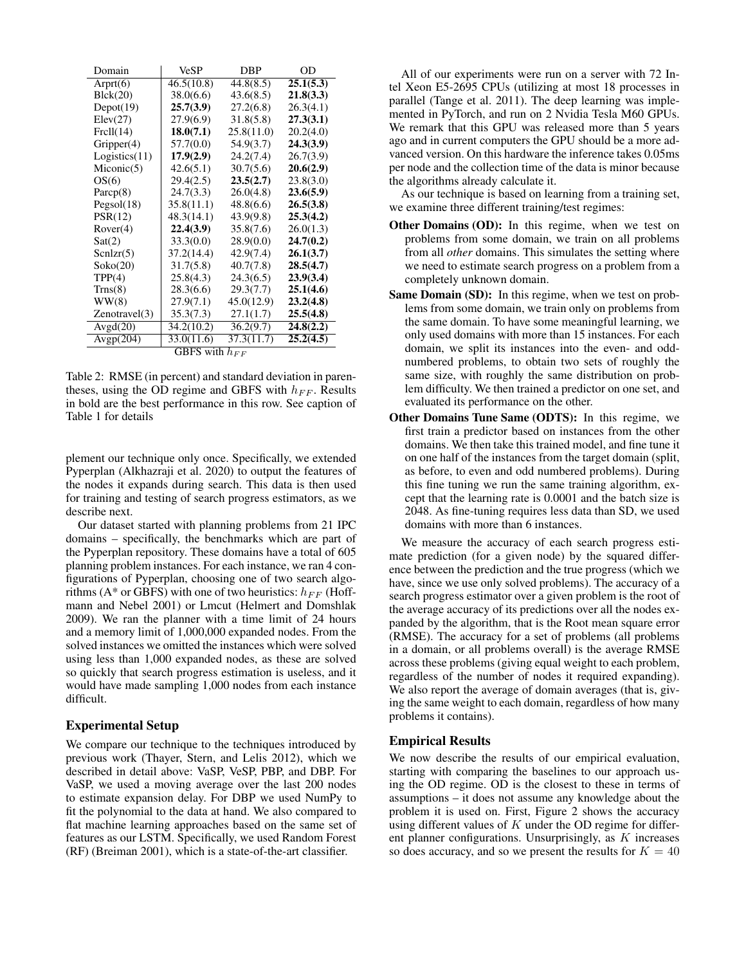| Domain                                 | <b>VeSP</b> | DBP        | OD        |  |  |  |
|----------------------------------------|-------------|------------|-----------|--|--|--|
| Arprt $(6)$                            | 46.5(10.8)  | 44.8(8.5)  | 25.1(5.3) |  |  |  |
| Blck(20)                               | 38.0(6.6)   | 43.6(8.5)  | 21.8(3.3) |  |  |  |
| Depot(19)                              | 25.7(3.9)   | 27.2(6.8)  | 26.3(4.1) |  |  |  |
| Elev(27)                               | 27.9(6.9)   | 31.8(5.8)  | 27.3(3.1) |  |  |  |
| Frell(14)                              | 18.0(7.1)   | 25.8(11.0) | 20.2(4.0) |  |  |  |
| Gripper(4)                             | 57.7(0.0)   | 54.9(3.7)  | 24.3(3.9) |  |  |  |
| Logistics(11)                          | 17.9(2.9)   | 24.2(7.4)  | 26.7(3.9) |  |  |  |
| Micronic(5)                            | 42.6(5.1)   | 30.7(5.6)  | 20.6(2.9) |  |  |  |
| OS(6)                                  | 29.4(2.5)   | 23.5(2.7)  | 23.8(3.0) |  |  |  |
| Parcp(8)                               | 24.7(3.3)   | 26.0(4.8)  | 23.6(5.9) |  |  |  |
| Pegsol(18)                             | 35.8(11.1)  | 48.8(6.6)  | 26.5(3.8) |  |  |  |
| PSR(12)                                | 48.3(14.1)  | 43.9(9.8)  | 25.3(4.2) |  |  |  |
| Rover(4)                               | 22.4(3.9)   | 35.8(7.6)  | 26.0(1.3) |  |  |  |
| Sat(2)                                 | 33.3(0.0)   | 28.9(0.0)  | 24.7(0.2) |  |  |  |
| SenIz(5)                               | 37.2(14.4)  | 42.9(7.4)  | 26.1(3.7) |  |  |  |
| Soko(20)                               | 31.7(5.8)   | 40.7(7.8)  | 28.5(4.7) |  |  |  |
| TPP(4)                                 | 25.8(4.3)   | 24.3(6.5)  | 23.9(3.4) |  |  |  |
| Trans(8)                               | 28.3(6.6)   | 29.3(7.7)  | 25.1(4.6) |  |  |  |
| WW(8)                                  | 27.9(7.1)   | 45.0(12.9) | 23.2(4.8) |  |  |  |
| Zenotravel(3)                          | 35.3(7.3)   | 27.1(1.7)  | 25.5(4.8) |  |  |  |
| Avgd(20)                               | 34.2(10.2)  | 36.2(9.7)  | 24.8(2.2) |  |  |  |
| Avgp(204)                              | 33.0(11.6)  | 37.3(11.7) | 25.2(4.5) |  |  |  |
| $\overline{\text{GBFS}}$ with $h_{FF}$ |             |            |           |  |  |  |

Table 2: RMSE (in percent) and standard deviation in parentheses, using the OD regime and GBFS with  $h_{FF}$ . Results in bold are the best performance in this row. See caption of Table 1 for details

plement our technique only once. Specifically, we extended Pyperplan (Alkhazraji et al. 2020) to output the features of the nodes it expands during search. This data is then used for training and testing of search progress estimators, as we describe next.

Our dataset started with planning problems from 21 IPC domains – specifically, the benchmarks which are part of the Pyperplan repository. These domains have a total of 605 planning problem instances. For each instance, we ran 4 configurations of Pyperplan, choosing one of two search algorithms (A\* or GBFS) with one of two heuristics:  $h_{FF}$  (Hoffmann and Nebel 2001) or Lmcut (Helmert and Domshlak 2009). We ran the planner with a time limit of 24 hours and a memory limit of 1,000,000 expanded nodes. From the solved instances we omitted the instances which were solved using less than 1,000 expanded nodes, as these are solved so quickly that search progress estimation is useless, and it would have made sampling 1,000 nodes from each instance difficult.

# Experimental Setup

We compare our technique to the techniques introduced by previous work (Thayer, Stern, and Lelis 2012), which we described in detail above: VaSP, VeSP, PBP, and DBP. For VaSP, we used a moving average over the last 200 nodes to estimate expansion delay. For DBP we used NumPy to fit the polynomial to the data at hand. We also compared to flat machine learning approaches based on the same set of features as our LSTM. Specifically, we used Random Forest (RF) (Breiman 2001), which is a state-of-the-art classifier.

All of our experiments were run on a server with 72 Intel Xeon E5-2695 CPUs (utilizing at most 18 processes in parallel (Tange et al. 2011). The deep learning was implemented in PyTorch, and run on 2 Nvidia Tesla M60 GPUs. We remark that this GPU was released more than 5 years ago and in current computers the GPU should be a more advanced version. On this hardware the inference takes 0.05ms per node and the collection time of the data is minor because the algorithms already calculate it.

As our technique is based on learning from a training set, we examine three different training/test regimes:

- Other Domains (OD): In this regime, when we test on problems from some domain, we train on all problems from all *other* domains. This simulates the setting where we need to estimate search progress on a problem from a completely unknown domain.
- Same Domain (SD): In this regime, when we test on problems from some domain, we train only on problems from the same domain. To have some meaningful learning, we only used domains with more than 15 instances. For each domain, we split its instances into the even- and oddnumbered problems, to obtain two sets of roughly the same size, with roughly the same distribution on problem difficulty. We then trained a predictor on one set, and evaluated its performance on the other.
- Other Domains Tune Same (ODTS): In this regime, we first train a predictor based on instances from the other domains. We then take this trained model, and fine tune it on one half of the instances from the target domain (split, as before, to even and odd numbered problems). During this fine tuning we run the same training algorithm, except that the learning rate is 0.0001 and the batch size is 2048. As fine-tuning requires less data than SD, we used domains with more than 6 instances.

We measure the accuracy of each search progress estimate prediction (for a given node) by the squared difference between the prediction and the true progress (which we have, since we use only solved problems). The accuracy of a search progress estimator over a given problem is the root of the average accuracy of its predictions over all the nodes expanded by the algorithm, that is the Root mean square error (RMSE). The accuracy for a set of problems (all problems in a domain, or all problems overall) is the average RMSE across these problems (giving equal weight to each problem, regardless of the number of nodes it required expanding). We also report the average of domain averages (that is, giving the same weight to each domain, regardless of how many problems it contains).

# Empirical Results

We now describe the results of our empirical evaluation, starting with comparing the baselines to our approach using the OD regime. OD is the closest to these in terms of assumptions – it does not assume any knowledge about the problem it is used on. First, Figure 2 shows the accuracy using different values of  $K$  under the OD regime for different planner configurations. Unsurprisingly, as  $K$  increases so does accuracy, and so we present the results for  $K = 40$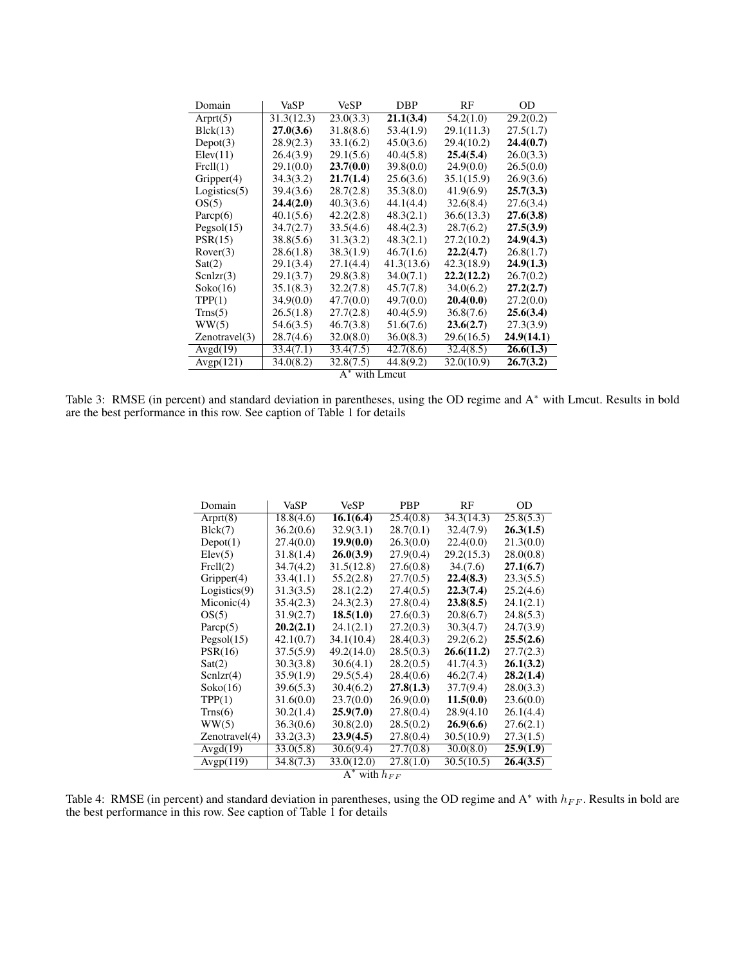| Domain           | VaSP       | <b>VeSP</b> | <b>DBP</b> | RF         | OD         |  |
|------------------|------------|-------------|------------|------------|------------|--|
| Arprt $(5)$      | 31.3(12.3) | 23.0(3.3)   | 21.1(3.4)  | 54.2(1.0)  | 29.2(0.2)  |  |
| Bick(13)         | 27.0(3.6)  | 31.8(8.6)   | 53.4(1.9)  | 29.1(11.3) | 27.5(1.7)  |  |
| Depot(3)         | 28.9(2.3)  | 33.1(6.2)   | 45.0(3.6)  | 29.4(10.2) | 24.4(0.7)  |  |
| Elev(11)         | 26.4(3.9)  | 29.1(5.6)   | 40.4(5.8)  | 25.4(5.4)  | 26.0(3.3)  |  |
| Frell(1)         | 29.1(0.0)  | 23.7(0.0)   | 39.8(0.0)  | 24.9(0.0)  | 26.5(0.0)  |  |
| Gripper(4)       | 34.3(3.2)  | 21.7(1.4)   | 25.6(3.6)  | 35.1(15.9) | 26.9(3.6)  |  |
| Logistics(5)     | 39.4(3.6)  | 28.7(2.8)   | 35.3(8.0)  | 41.9(6.9)  | 25.7(3.3)  |  |
| OS(5)            | 24.4(2.0)  | 40.3(3.6)   | 44.1(4.4)  | 32.6(8.4)  | 27.6(3.4)  |  |
| Parcp $(6)$      | 40.1(5.6)  | 42.2(2.8)   | 48.3(2.1)  | 36.6(13.3) | 27.6(3.8)  |  |
| Pegsol(15)       | 34.7(2.7)  | 33.5(4.6)   | 48.4(2.3)  | 28.7(6.2)  | 27.5(3.9)  |  |
| PSR(15)          | 38.8(5.6)  | 31.3(3.2)   | 48.3(2.1)  | 27.2(10.2) | 24.9(4.3)  |  |
| Rover(3)         | 28.6(1.8)  | 38.3(1.9)   | 46.7(1.6)  | 22.2(4.7)  | 26.8(1.7)  |  |
| Sat(2)           | 29.1(3.4)  | 27.1(4.4)   | 41.3(13.6) | 42.3(18.9) | 24.9(1.3)  |  |
| SenIzr(3)        | 29.1(3.7)  | 29.8(3.8)   | 34.0(7.1)  | 22.2(12.2) | 26.7(0.2)  |  |
| Soko(16)         | 35.1(8.3)  | 32.2(7.8)   | 45.7(7.8)  | 34.0(6.2)  | 27.2(2.7)  |  |
| TPP(1)           | 34.9(0.0)  | 47.7(0.0)   | 49.7(0.0)  | 20.4(0.0)  | 27.2(0.0)  |  |
| Trans(5)         | 26.5(1.8)  | 27.7(2.8)   | 40.4(5.9)  | 36.8(7.6)  | 25.6(3.4)  |  |
| WW(5)            | 54.6(3.5)  | 46.7(3.8)   | 51.6(7.6)  | 23.6(2.7)  | 27.3(3.9)  |  |
| Zenotravel(3)    | 28.7(4.6)  | 32.0(8.0)   | 36.0(8.3)  | 29.6(16.5) | 24.9(14.1) |  |
| Avgd(19)         | 33.4(7.1)  | 33.4(7.5)   | 42.7(8.6)  | 32.4(8.5)  | 26.6(1.3)  |  |
| Avgp(121)        | 34.0(8.2)  | 32.8(7.5)   | 44.8(9.2)  | 32.0(10.9) | 26.7(3.2)  |  |
| $A^*$ with Lmcut |            |             |            |            |            |  |

Table 3: RMSE (in percent) and standard deviation in parentheses, using the OD regime and A<sup>∗</sup> with Lmcut. Results in bold are the best performance in this row. See caption of Table 1 for details

| Domain                     | VaSP      | VeSP       | <b>PBP</b> | RF         | OD        |  |  |
|----------------------------|-----------|------------|------------|------------|-----------|--|--|
| Arprt $(8)$                | 18.8(4.6) | 16.1(6.4)  | 25.4(0.8)  | 34.3(14.3) | 25.8(5.3) |  |  |
| Blck(7)                    | 36.2(0.6) | 32.9(3.1)  | 28.7(0.1)  | 32.4(7.9)  | 26.3(1.5) |  |  |
| Depot(1)                   | 27.4(0.0) | 19.9(0.0)  | 26.3(0.0)  | 22.4(0.0)  | 21.3(0.0) |  |  |
| Elev(5)                    | 31.8(1.4) | 26.0(3.9)  | 27.9(0.4)  | 29.2(15.3) | 28.0(0.8) |  |  |
| Frell(2)                   | 34.7(4.2) | 31.5(12.8) | 27.6(0.8)  | 34(7.6)    | 27.1(6.7) |  |  |
| Gripper(4)                 | 33.4(1.1) | 55.2(2.8)  | 27.7(0.5)  | 22.4(8.3)  | 23.3(5.5) |  |  |
| Logistics(9)               | 31.3(3.5) | 28.1(2.2)  | 27.4(0.5)  | 22.3(7.4)  | 25.2(4.6) |  |  |
| Micronic(4)                | 35.4(2.3) | 24.3(2.3)  | 27.8(0.4)  | 23.8(8.5)  | 24.1(2.1) |  |  |
| OS(5)                      | 31.9(2.7) | 18.5(1.0)  | 27.6(0.3)  | 20.8(6.7)  | 24.8(5.3) |  |  |
| Parc $p(5)$                | 20.2(2.1) | 24.1(2.1)  | 27.2(0.3)  | 30.3(4.7)  | 24.7(3.9) |  |  |
| Pegsol(15)                 | 42.1(0.7) | 34.1(10.4) | 28.4(0.3)  | 29.2(6.2)  | 25.5(2.6) |  |  |
| PSR(16)                    | 37.5(5.9) | 49.2(14.0) | 28.5(0.3)  | 26.6(11.2) | 27.7(2.3) |  |  |
| Sat(2)                     | 30.3(3.8) | 30.6(4.1)  | 28.2(0.5)  | 41.7(4.3)  | 26.1(3.2) |  |  |
| SchZr(4)                   | 35.9(1.9) | 29.5(5.4)  | 28.4(0.6)  | 46.2(7.4)  | 28.2(1.4) |  |  |
| Soko(16)                   | 39.6(5.3) | 30.4(6.2)  | 27.8(1.3)  | 37.7(9.4)  | 28.0(3.3) |  |  |
| TPP(1)                     | 31.6(0.0) | 23.7(0.0)  | 26.9(0.0)  | 11.5(0.0)  | 23.6(0.0) |  |  |
| T <sub>r</sub> (6)         | 30.2(1.4) | 25.9(7.0)  | 27.8(0.4)  | 28.9(4.10) | 26.1(4.4) |  |  |
| WW(5)                      | 36.3(0.6) | 30.8(2.0)  | 28.5(0.2)  | 26.9(6.6)  | 27.6(2.1) |  |  |
| Zenotravel(4)              | 33.2(3.3) | 23.9(4.5)  | 27.8(0.4)  | 30.5(10.9) | 27.3(1.5) |  |  |
| Avgd(19)                   | 33.0(5.8) | 30.6(9.4)  | 27.7(0.8)  | 30.0(8.0)  | 25.9(1.9) |  |  |
| Avgp $(119)$               | 34.8(7.3) | 33.0(12.0) | 27.8(1.0)  | 30.5(10.5) | 26.4(3.5) |  |  |
| $\Lambda^*$ with $\Lambda$ |           |            |            |            |           |  |  |

 $A^*$  with  $h_{FF}$ 

Table 4: RMSE (in percent) and standard deviation in parentheses, using the OD regime and  $A^*$  with  $h_{FF}$ . Results in bold are the best performance in this row. See caption of Table 1 for details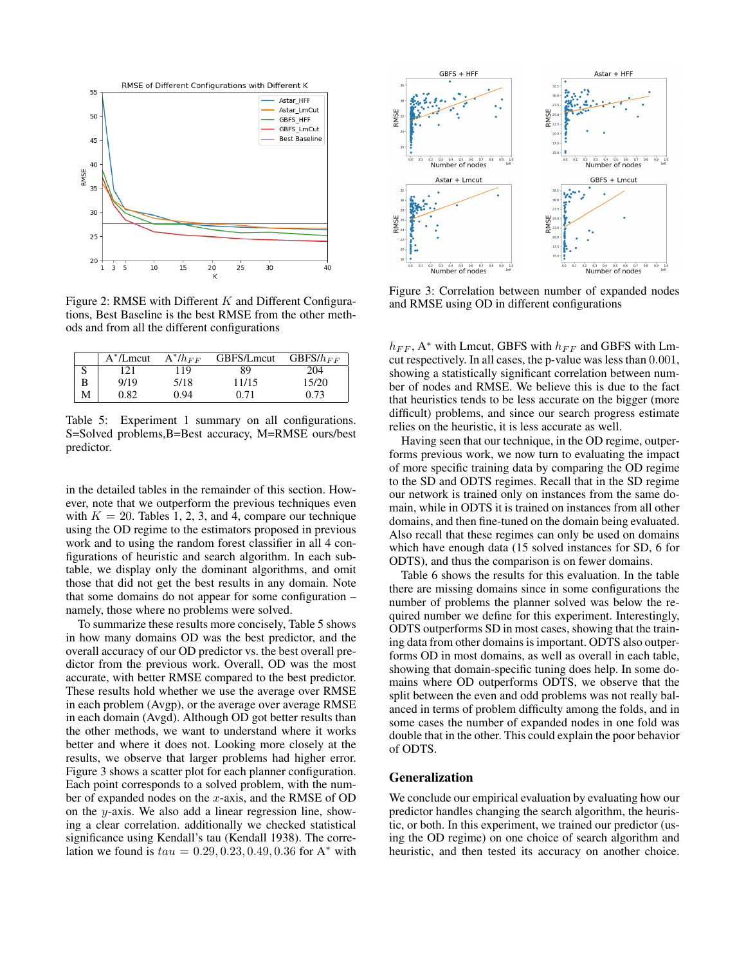

Figure 2: RMSE with Different  $K$  and Different Configurations, Best Baseline is the best RMSE from the other methods and from all the different configurations

|   | $A^*/L$ mcut | $A^* / h_{FF}$ | GBFS/Lmcut | $GBFS/h_{FF}$ |
|---|--------------|----------------|------------|---------------|
|   | 121          | 119            | 89         | 204           |
|   | 9/19         | 5/18           | 11/15      | 15/20         |
| М | 0.82         | 0.94           | 0.71       | 0.73          |

Table 5: Experiment 1 summary on all configurations. S=Solved problems,B=Best accuracy, M=RMSE ours/best predictor.

in the detailed tables in the remainder of this section. However, note that we outperform the previous techniques even with  $K = 20$ . Tables 1, 2, 3, and 4, compare our technique using the OD regime to the estimators proposed in previous work and to using the random forest classifier in all 4 configurations of heuristic and search algorithm. In each subtable, we display only the dominant algorithms, and omit those that did not get the best results in any domain. Note that some domains do not appear for some configuration – namely, those where no problems were solved.

To summarize these results more concisely, Table 5 shows in how many domains OD was the best predictor, and the overall accuracy of our OD predictor vs. the best overall predictor from the previous work. Overall, OD was the most accurate, with better RMSE compared to the best predictor. These results hold whether we use the average over RMSE in each problem (Avgp), or the average over average RMSE in each domain (Avgd). Although OD got better results than the other methods, we want to understand where it works better and where it does not. Looking more closely at the results, we observe that larger problems had higher error. Figure 3 shows a scatter plot for each planner configuration. Each point corresponds to a solved problem, with the number of expanded nodes on the  $x$ -axis, and the RMSE of OD on the y-axis. We also add a linear regression line, showing a clear correlation. additionally we checked statistical significance using Kendall's tau (Kendall 1938). The correlation we found is  $tau = 0.29, 0.23, 0.49, 0.36$  for A<sup>\*</sup> with



Figure 3: Correlation between number of expanded nodes and RMSE using OD in different configurations

 $h_{FF}$ , A\* with Lmcut, GBFS with  $h_{FF}$  and GBFS with Lmcut respectively. In all cases, the p-value was less than 0.001, showing a statistically significant correlation between number of nodes and RMSE. We believe this is due to the fact that heuristics tends to be less accurate on the bigger (more difficult) problems, and since our search progress estimate relies on the heuristic, it is less accurate as well.

Having seen that our technique, in the OD regime, outperforms previous work, we now turn to evaluating the impact of more specific training data by comparing the OD regime to the SD and ODTS regimes. Recall that in the SD regime our network is trained only on instances from the same domain, while in ODTS it is trained on instances from all other domains, and then fine-tuned on the domain being evaluated. Also recall that these regimes can only be used on domains which have enough data (15 solved instances for SD, 6 for ODTS), and thus the comparison is on fewer domains.

Table 6 shows the results for this evaluation. In the table there are missing domains since in some configurations the number of problems the planner solved was below the required number we define for this experiment. Interestingly, ODTS outperforms SD in most cases, showing that the training data from other domains is important. ODTS also outperforms OD in most domains, as well as overall in each table, showing that domain-specific tuning does help. In some domains where OD outperforms ODTS, we observe that the split between the even and odd problems was not really balanced in terms of problem difficulty among the folds, and in some cases the number of expanded nodes in one fold was double that in the other. This could explain the poor behavior of ODTS.

# Generalization

We conclude our empirical evaluation by evaluating how our predictor handles changing the search algorithm, the heuristic, or both. In this experiment, we trained our predictor (using the OD regime) on one choice of search algorithm and heuristic, and then tested its accuracy on another choice.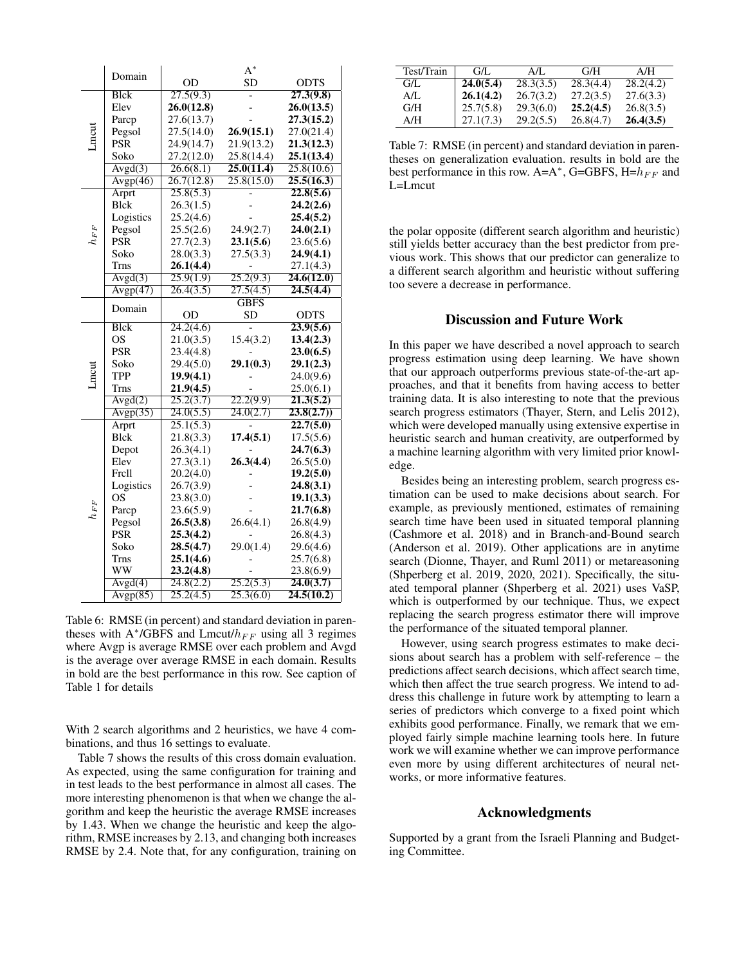|          |             | $A^*$      |             |             |  |  |
|----------|-------------|------------|-------------|-------------|--|--|
|          | Domain      | OD         | <b>SD</b>   | <b>ODTS</b> |  |  |
|          | <b>Blck</b> | 27.5(9.3)  |             | 27.3(9.8)   |  |  |
|          | Elev        | 26.0(12.8) |             | 26.0(13.5)  |  |  |
|          | Parcp       | 27.6(13.7) |             | 27.3(15.2)  |  |  |
|          | Pegsol      | 27.5(14.0) | 26.9(15.1)  | 27.0(21.4)  |  |  |
| Lmcut    | <b>PSR</b>  | 24.9(14.7) | 21.9(13.2)  | 21.3(12.3)  |  |  |
|          | Soko        | 27.2(12.0) | 25.8(14.4)  | 25.1(13.4)  |  |  |
|          | Avgd(3)     | 26.6(8.1)  | 25.0(11.4)  | 25.8(10.6)  |  |  |
|          | Avgp(46)    | 26.7(12.8) | 25.8(15.0)  | 25.5(16.3)  |  |  |
|          | Arprt       | 25.8(5.3)  |             | 22.8(5.6)   |  |  |
|          | <b>Blck</b> | 26.3(1.5)  |             | 24,2(2.6)   |  |  |
|          | Logistics   | 25.2(4.6)  |             | 25.4(5.2)   |  |  |
| $h_{FF}$ | Pegsol      | 25.5(2.6)  | 24.9(2.7)   | 24.0(2.1)   |  |  |
|          | <b>PSR</b>  | 27.7(2.3)  | 23.1(5.6)   | 23.6(5.6)   |  |  |
|          | Soko        | 28.0(3.3)  | 27.5(3.3)   | 24.9(4.1)   |  |  |
|          | <b>Trns</b> | 26.1(4.4)  |             | 27.1(4.3)   |  |  |
|          | Avgd(3)     | 25.9(1.9)  | 25.2(9.3)   | 24.6(12.0)  |  |  |
|          | Avgp(47)    | 26.4(3.5)  | 27.5(4.5)   | 24.5(4.4)   |  |  |
|          | Domain      |            | <b>GBFS</b> |             |  |  |
|          |             | OD         | <b>SD</b>   | <b>ODTS</b> |  |  |
|          | <b>Blck</b> | 24.2(4.6)  |             | 23.9(5.6)   |  |  |
|          | <b>OS</b>   | 21.0(3.5)  | 15.4(3.2)   | 13.4(2.3)   |  |  |
|          | <b>PSR</b>  | 23.4(4.8)  |             | 23.0(6.5)   |  |  |
|          | Soko        | 29.4(5.0)  | 29.1(0.3)   | 29.1(2.3)   |  |  |
| Lmcut    | <b>TPP</b>  | 19.9(4.1)  |             | 24.0(9.6)   |  |  |
|          | Trns        | 21.9(4.5)  |             | 25.0(6.1)   |  |  |
|          | Avgd(2)     | 25.2(3.7)  | 22.2(9.9)   | 21.3(5.2)   |  |  |
|          | Avgp(35)    | 24.0(5.5)  | 24.0(2.7)   | 23.8(2.7)   |  |  |
|          | Arprt       | 25.1(5.3)  |             | 22.7(5.0)   |  |  |
|          | <b>Blck</b> | 21.8(3.3)  | 17.4(5.1)   | 17.5(5.6)   |  |  |
|          | Depot       | 26.3(4.1)  |             | 24.7(6.3)   |  |  |
|          | Elev        | 27.3(3.1)  | 26.3(4.4)   | 26.5(5.0)   |  |  |
|          | Frell       | 20.2(4.0)  |             | 19.2(5.0)   |  |  |
|          | Logistics   | 26.7(3.9)  |             | 24.8(3.1)   |  |  |
|          | OS          | 23.8(3.0)  |             | 19.1(3.3)   |  |  |
| $h_{FF}$ | Parcp       | 23.6(5.9)  |             | 21.7(6.8)   |  |  |
|          | Pegsol      | 26.5(3.8)  | 26.6(4.1)   | 26.8(4.9)   |  |  |
|          | PSR         | 25.3(4.2)  |             | 26.8(4.3)   |  |  |
|          | Soko        | 28.5(4.7)  | 29.0(1.4)   | 29.6(4.6)   |  |  |
|          | <b>Trns</b> | 25.1(4.6)  |             | 25.7(6.8)   |  |  |
|          | WW          | 23.2(4.8)  |             | 23.8(6.9)   |  |  |
|          | Avgd(4)     | 24.8(2.2)  | 25.2(5.3)   | 24.0(3.7)   |  |  |
|          | Avgp(85)    | 25.2(4.5)  | 25.3(6.0)   | 24.5(10.2)  |  |  |

Table 6: RMSE (in percent) and standard deviation in parentheses with  $A^*$ /GBFS and Lmcut/ $h_{FF}$  using all 3 regimes where Avgp is average RMSE over each problem and Avgd is the average over average RMSE in each domain. Results in bold are the best performance in this row. See caption of Table 1 for details

With 2 search algorithms and 2 heuristics, we have 4 combinations, and thus 16 settings to evaluate.

Table 7 shows the results of this cross domain evaluation. As expected, using the same configuration for training and in test leads to the best performance in almost all cases. The more interesting phenomenon is that when we change the algorithm and keep the heuristic the average RMSE increases by 1.43. When we change the heuristic and keep the algorithm, RMSE increases by 2.13, and changing both increases RMSE by 2.4. Note that, for any configuration, training on

| Test/Train | G/L       | $A/I$ .   | G/H       | A/H       |
|------------|-----------|-----------|-----------|-----------|
| G/L        | 24.0(5.4) | 28.3(3.5) | 28.3(4.4) | 28.2(4.2) |
| AЛ.        | 26.1(4.2) | 26.7(3.2) | 27.2(3.5) | 27.6(3.3) |
| G/H        | 25.7(5.8) | 29.3(6.0) | 25.2(4.5) | 26.8(3.5) |
| A/H        | 27.1(7.3) | 29.2(5.5) | 26.8(4.7) | 26.4(3.5) |

Table 7: RMSE (in percent) and standard deviation in parentheses on generalization evaluation. results in bold are the best performance in this row. A=A<sup>\*</sup>, G=GBFS, H= $h_{FF}$  and L=Lmcut

the polar opposite (different search algorithm and heuristic) still yields better accuracy than the best predictor from previous work. This shows that our predictor can generalize to a different search algorithm and heuristic without suffering too severe a decrease in performance.

#### Discussion and Future Work

In this paper we have described a novel approach to search progress estimation using deep learning. We have shown that our approach outperforms previous state-of-the-art approaches, and that it benefits from having access to better training data. It is also interesting to note that the previous search progress estimators (Thayer, Stern, and Lelis 2012), which were developed manually using extensive expertise in heuristic search and human creativity, are outperformed by a machine learning algorithm with very limited prior knowledge.

Besides being an interesting problem, search progress estimation can be used to make decisions about search. For example, as previously mentioned, estimates of remaining search time have been used in situated temporal planning (Cashmore et al. 2018) and in Branch-and-Bound search (Anderson et al. 2019). Other applications are in anytime search (Dionne, Thayer, and Ruml 2011) or metareasoning (Shperberg et al. 2019, 2020, 2021). Specifically, the situated temporal planner (Shperberg et al. 2021) uses VaSP, which is outperformed by our technique. Thus, we expect replacing the search progress estimator there will improve the performance of the situated temporal planner.

However, using search progress estimates to make decisions about search has a problem with self-reference – the predictions affect search decisions, which affect search time, which then affect the true search progress. We intend to address this challenge in future work by attempting to learn a series of predictors which converge to a fixed point which exhibits good performance. Finally, we remark that we employed fairly simple machine learning tools here. In future work we will examine whether we can improve performance even more by using different architectures of neural networks, or more informative features.

### Acknowledgments

Supported by a grant from the Israeli Planning and Budgeting Committee.